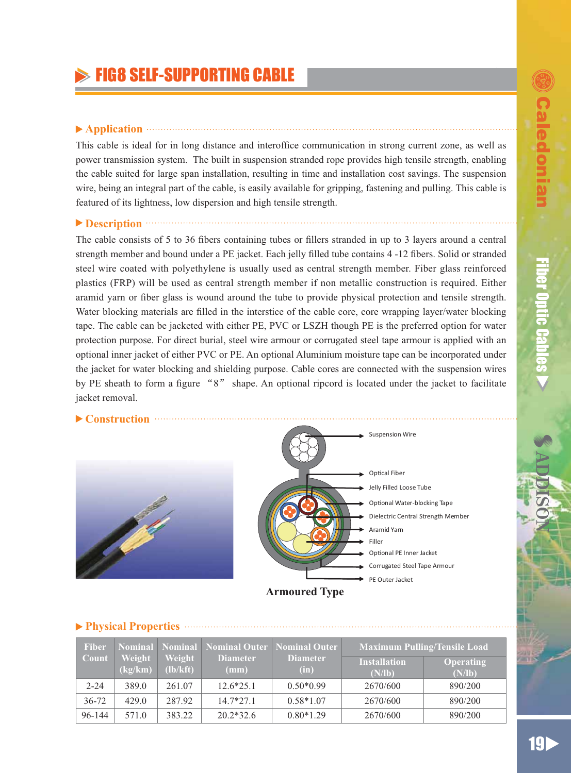ƷƷ

**Fiber Optic Cables** 

# $\triangleright$  FIG8 SELF-SUPPORTING CABLE

#### ▶ Application **and the contract of the contract of the contract of the contract of the contract of the contract of the contract of the contract of the contract of the contract of the contract of the contract of the contra**

This cable is ideal for in long distance and interoffice communication in strong current zone, as well as power transmission system. The built in suspension stranded rope provides high tensile strength, enabling the cable suited for large span installation, resulting in time and installation cost savings. The suspension wire, being an integral part of the cable, is easily available for gripping, fastening and pulling. This cable is featured of its lightness, low dispersion and high tensile strength.

### **Description CONSERVING <b>Description**

The cable consists of 5 to 36 fibers containing tubes or fillers stranded in up to 3 layers around a central strength member and bound under a PE jacket. Each jelly filled tube contains 4-12 fibers. Solid or stranded steel wire coated with polyethylene is usually used as central strength member. Fiber glass reinforced plastics (FRP) will be used as central strength member if non metallic construction is required. Either aramid yarn or fiber glass is wound around the tube to provide physical protection and tensile strength. Water blocking materials are filled in the interstice of the cable core, core wrapping layer/water blocking tape. The cable can be jacketed with either PE, PVC or LSZH though PE is the preferred option for water protection purpose. For direct burial, steel wire armour or corrugated steel tape armour is applied with an optional inner jacket of either PVC or PE. An optional Aluminium moisture tape can be incorporated under the jacket for water blocking and shielding purpose. Cable cores are connected with the suspension wires by PE sheath to form a figure "8" shape. An optional ripcord is located under the jacket to facilitate jacket removal.

#### **Construction**





#### **Physical Properties Fiber Count Nominal Weight (kg/km) Nominal Weight (lb/kft) Nominal Outer Diameter (mm) Nominal Outer Diameter (in) Maximum Pulling/Tensile Load Installation (N/lb) Operating (N/lb)** 2-24 389.0 261.07 12.6\*25.1 0.50\*0.99 2670/600 890/200 36-72 429.0 287.92 14.7\*27.1 0.58\*1.07 2670/600 890/200 96-144 571.0 383.22 20.2\*32.6 0.80\*1.29 2670/600 890/200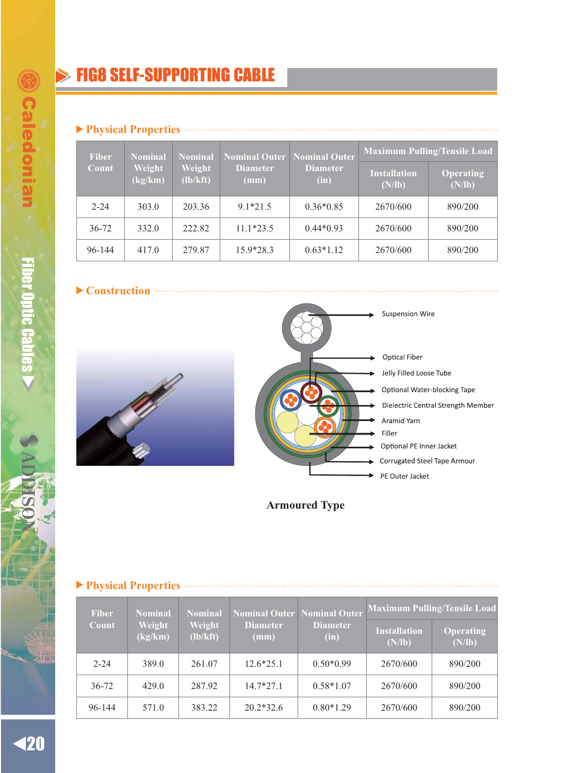# **FIG8 SELF-SUPPORTING CABLE**

#### **Physical Properties**

| <b>Fiber</b><br>Weight<br>Count<br>(kg/km) | <b>Nominal</b> | Nominal<br>Weight<br>$(lb/kft)$ | Nominal Outer Nominal Outer<br><b>Diameter</b><br>$(\mathbf{mm})$ | <b>Diameter</b><br>(in) | <b>Maximum Pulling/Tensile Load</b> |                     |
|--------------------------------------------|----------------|---------------------------------|-------------------------------------------------------------------|-------------------------|-------------------------------------|---------------------|
|                                            |                |                                 |                                                                   |                         | <b>Installation</b><br>(N/lb)       | Operating<br>(N/lb) |
| $2 - 24$                                   | 303.0          | 203.36                          | $9.1*21.5$                                                        | $0.36*0.85$             | 2670/600                            | 890/200             |
| $36 - 72$                                  | 332.0          | 222.82                          | $11.1*23.5$                                                       | $0.44*0.93$             | 2670/600                            | 890/200             |
| 96-144                                     | 417.0          | 279.87                          | $15.9*28.3$                                                       | $0.63*1.12$             | 2670/600                            | 890/200             |

**Construction**



**Suspension Wire Optical Fiber** Jelly Filled Loose Tube Optional Water-blocking Tape Dielectric Central Strength Member Aramid Yarn Filler Optional PE Inner Jacket Corrugated Steel Tape Armour PE Outer Jacket

**Armoured Type**

| THYSICAL THURS INS |                   |                    |                         |                                                        |                                     |                     |
|--------------------|-------------------|--------------------|-------------------------|--------------------------------------------------------|-------------------------------------|---------------------|
| <b>Fiber</b>       | Nominal           | <b>Nominal</b>     |                         | Nominal Outer Nominal Outer<br><b>Diameter</b><br>(in) | <b>Maximum Pulling/Tensile Load</b> |                     |
| Count              | Weight<br>(kg/km) | Weight<br>(lb/kft) | <b>Diameter</b><br>(mm) |                                                        | <b>Installation</b><br>(N/lb)       | Operating<br>(N/lb) |
| $2 - 24$           | 389.0             | 261.07             | $12.6*25.1$             | $0.50*0.99$                                            | 2670/600                            | 890/200             |
| $36 - 72$          | 429.0             | 287.92             | $14.7*27.1$             | $0.58*1.07$                                            | 2670/600                            | 890/200             |
| 96-144             | 571.0             | 383.22             | $20.2*32.6$             | $0.80*1.29$                                            | 2670/600                            | 890/200             |

#### **Physical Properties**